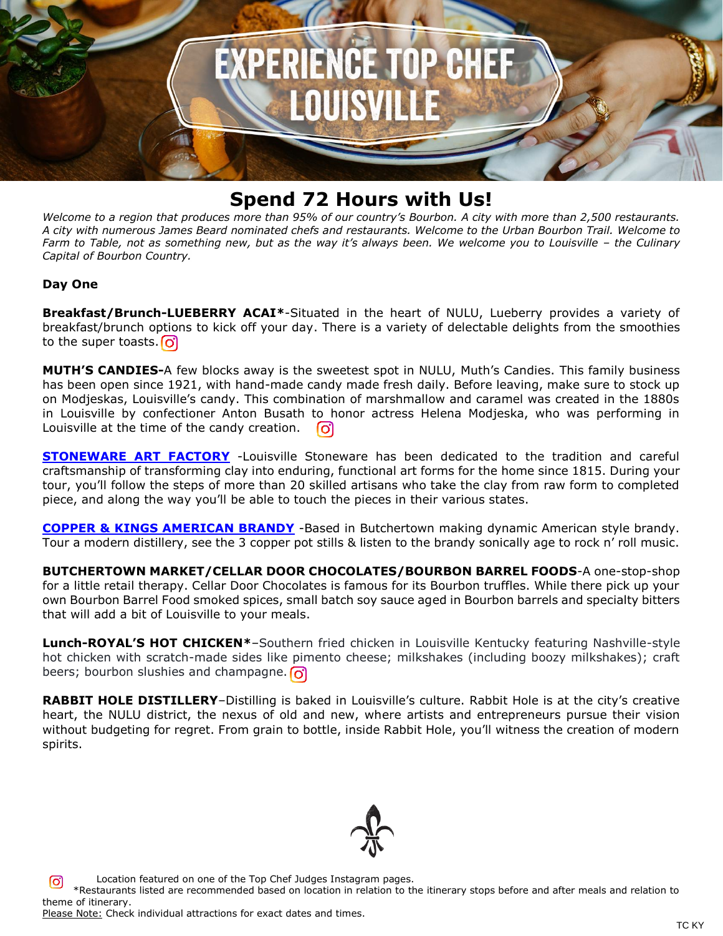

# **Spend 72 Hours with Us!**

*Welcome to a region that produces more than 95% of our country's Bourbon. A city with more than 2,500 restaurants. A city with numerous James Beard nominated chefs and restaurants. Welcome to the Urban Bourbon Trail. Welcome to Farm to Table, not as something new, but as the way it's always been. We welcome you to Louisville – the Culinary Capital of Bourbon Country.*

## **Day One**

**Breakfast/Brunch-LUEBERRY ACAI\***-Situated in the heart of NULU, Lueberry provides a variety of breakfast/brunch options to kick off your day. There is a variety of delectable delights from the smoothies to the super toasts.  $\boxed{\text{O}}$ 

**MUTH'S CANDIES-**A few blocks away is the sweetest spot in NULU, Muth's Candies. This family business has been open since 1921, with hand-made candy made fresh daily. Before leaving, make sure to stock up on Modjeskas, Louisville's candy. This combination of marshmallow and caramel was created in the 1880s in Louisville by confectioner Anton Busath to honor actress Helena Modjeska, who was performing in Louisville at the time of the candy creation. ြင

**[STONEWARE ART FACTORY](https://reservations.gotolouisville.com/attraction/single/6849/1660)** -Louisville Stoneware has been dedicated to the tradition and careful craftsmanship of transforming clay into enduring, functional art forms for the home since 1815. During your tour, you'll follow the steps of more than 20 skilled artisans who take the clay from raw form to completed piece, and along the way you'll be able to touch the pieces in their various states.

**[COPPER & KINGS AMERICAN BRANDY](https://reservations.gotolouisville.com/attraction/single/6849/1615)** -Based in Butchertown making dynamic American style brandy. Tour a modern distillery, see the 3 copper pot stills & listen to the brandy sonically age to rock n' roll music.

**BUTCHERTOWN MARKET/CELLAR DOOR CHOCOLATES/BOURBON BARREL FOODS**-A one-stop-shop for a little retail therapy. Cellar Door Chocolates is famous for its Bourbon truffles. While there pick up your own Bourbon Barrel Food smoked spices, small batch soy sauce aged in Bourbon barrels and specialty bitters that will add a bit of Louisville to your meals.

**Lunch-ROYAL'S HOT CHICKEN\***–Southern fried chicken in Louisville Kentucky featuring Nashville-style hot chicken with scratch-made sides like pimento cheese; milkshakes (including boozy milkshakes); craft beers; bourbon slushies and champagne.  $\Omega$ 

**RABBIT HOLE DISTILLERY**–Distilling is baked in Louisville's culture. Rabbit Hole is at the city's creative heart, the NULU district, the nexus of old and new, where artists and entrepreneurs pursue their vision without budgeting for regret. From grain to bottle, inside Rabbit Hole, you'll witness the creation of modern spirits.



Location featured on one of the Top Chef Judges Instagram pages. \*Restaurants listed are recommended based on location in relation to the itinerary stops before and after meals and relation to theme of itinerary.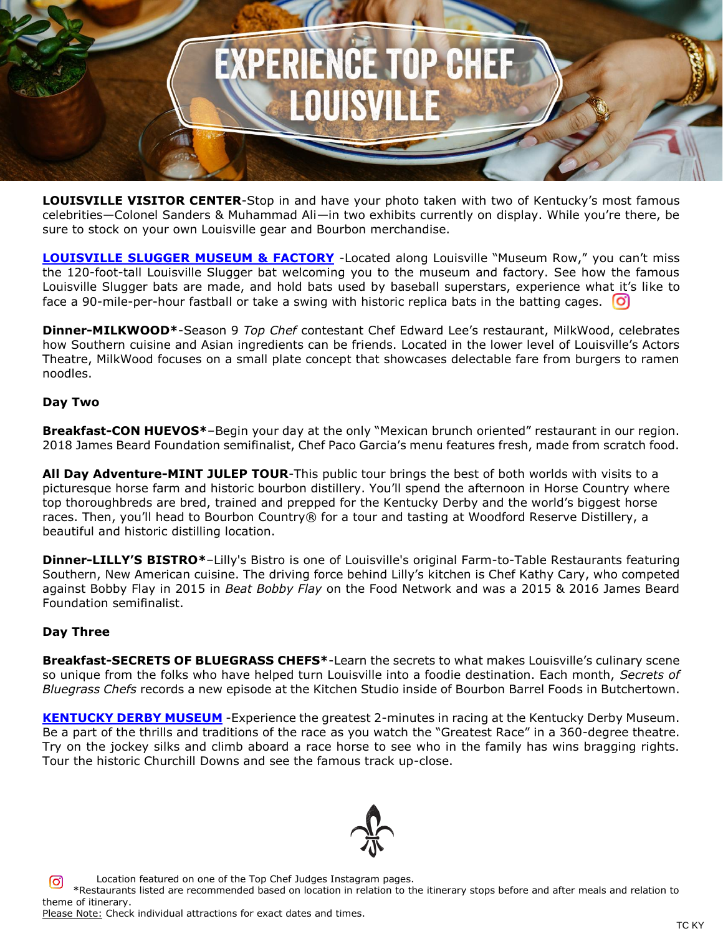

**LOUISVILLE VISITOR CENTER**-Stop in and have your photo taken with two of Kentucky's most famous celebrities—Colonel Sanders & Muhammad Ali—in two exhibits currently on display. While you're there, be sure to stock on your own Louisville gear and Bourbon merchandise.

**[LOUISVILLE SLUGGER MUSEUM & FACTORY](https://reservations.gotolouisville.com/attraction/single/6849/1613)** -Located along Louisville "Museum Row," you can't miss the 120-foot-tall Louisville Slugger bat welcoming you to the museum and factory. See how the famous Louisville Slugger bats are made, and hold bats used by baseball superstars, experience what it's like to face a 90-mile-per-hour fastball or take a swing with historic replica bats in the batting cages.  $\boxed{\text{O}}$ 

**Dinner-MILKWOOD\***-Season 9 *Top Chef* contestant Chef Edward Lee's restaurant, MilkWood, celebrates how Southern cuisine and Asian ingredients can be friends. Located in the lower level of Louisville's Actors Theatre, MilkWood focuses on a small plate concept that showcases delectable fare from burgers to ramen noodles.

### **Day Two**

**Breakfast-CON HUEVOS\***–Begin your day at the only "Mexican brunch oriented" restaurant in our region. 2018 James Beard Foundation semifinalist, Chef Paco Garcia's menu features fresh, made from scratch food.

**All Day Adventure-MINT JULEP TOUR**-This public tour brings the best of both worlds with visits to a picturesque horse farm and historic bourbon distillery. You'll spend the afternoon in Horse Country where top thoroughbreds are bred, trained and prepped for the Kentucky Derby and the world's biggest horse races. Then, you'll head to Bourbon Country® for a tour and tasting at Woodford Reserve Distillery, a beautiful and historic distilling location.

**Dinner-LILLY'S BISTRO\***–Lilly's Bistro is one of Louisville's original Farm-to-Table Restaurants featuring Southern, New American cuisine. The driving force behind Lilly's kitchen is Chef Kathy Cary, who competed against Bobby Flay in 2015 in *Beat Bobby Flay* on the Food Network and was a 2015 & 2016 James Beard Foundation semifinalist.

### **Day Three**

**Breakfast-SECRETS OF BLUEGRASS CHEFS\***-Learn the secrets to what makes Louisville's culinary scene so unique from the folks who have helped turn Louisville into a foodie destination. Each month, *Secrets of Bluegrass Chefs* records a new episode at the Kitchen Studio inside of Bourbon Barrel Foods in Butchertown.

**[KENTUCKY DERBY MUSEUM](https://reservations.gotolouisville.com/attraction/single/6849/1585)** -Experience the greatest 2-minutes in racing at the Kentucky Derby Museum. Be a part of the thrills and traditions of the race as you watch the "Greatest Race" in a 360-degree theatre. Try on the jockey silks and climb aboard a race horse to see who in the family has wins bragging rights. Tour the historic Churchill Downs and see the famous track up-close.



 Location featured on one of the Top Chef Judges Instagram pages. \*Restaurants listed are recommended based on location in relation to the itinerary stops before and after meals and relation to theme of itinerary. Please Note: Check individual attractions for exact dates and times.